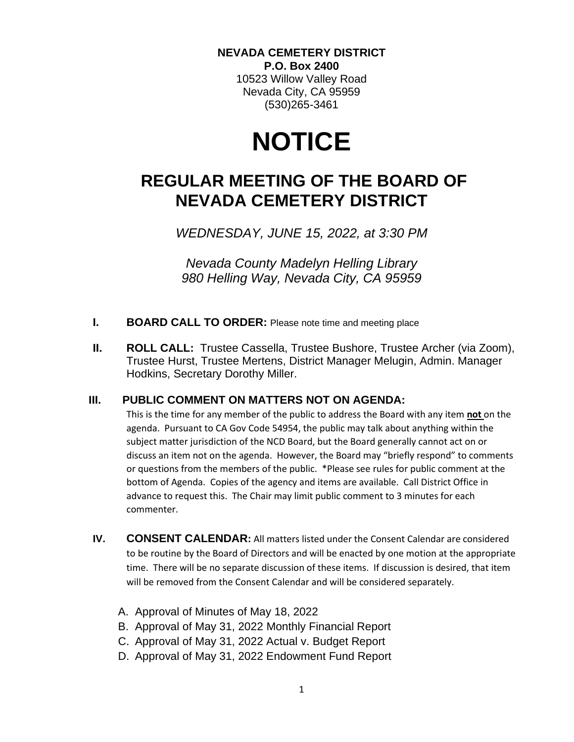#### **NEVADA CEMETERY DISTRICT P.O. Box 2400**

10523 Willow Valley Road Nevada City, CA 95959 (530)265-3461

# **NOTICE**

# **REGULAR MEETING OF THE BOARD OF NEVADA CEMETERY DISTRICT**

*WEDNESDAY, JUNE 15, 2022, at 3:30 PM*

*Nevada County Madelyn Helling Library 980 Helling Way, Nevada City, CA 95959*

- **I. BOARD CALL TO ORDER:** Please note time and meeting place
- **II. ROLL CALL:** Trustee Cassella, Trustee Bushore, Trustee Archer (via Zoom), Trustee Hurst, Trustee Mertens, District Manager Melugin, Admin. Manager Hodkins, Secretary Dorothy Miller.

#### **III. PUBLIC COMMENT ON MATTERS NOT ON AGENDA:**

This is the time for any member of the public to address the Board with any item **not** on the agenda. Pursuant to CA Gov Code 54954, the public may talk about anything within the subject matter jurisdiction of the NCD Board, but the Board generally cannot act on or discuss an item not on the agenda. However, the Board may "briefly respond" to comments or questions from the members of the public. \*Please see rules for public comment at the bottom of Agenda. Copies of the agency and items are available. Call District Office in advance to request this. The Chair may limit public comment to 3 minutes for each commenter.

- **IV. CONSENT CALENDAR:** All matters listed under the Consent Calendar are considered to be routine by the Board of Directors and will be enacted by one motion at the appropriate time. There will be no separate discussion of these items. If discussion is desired, that item will be removed from the Consent Calendar and will be considered separately.
	- A. Approval of Minutes of May 18, 2022
	- B. Approval of May 31, 2022 Monthly Financial Report
	- C. Approval of May 31, 2022 Actual v. Budget Report
	- D. Approval of May 31, 2022 Endowment Fund Report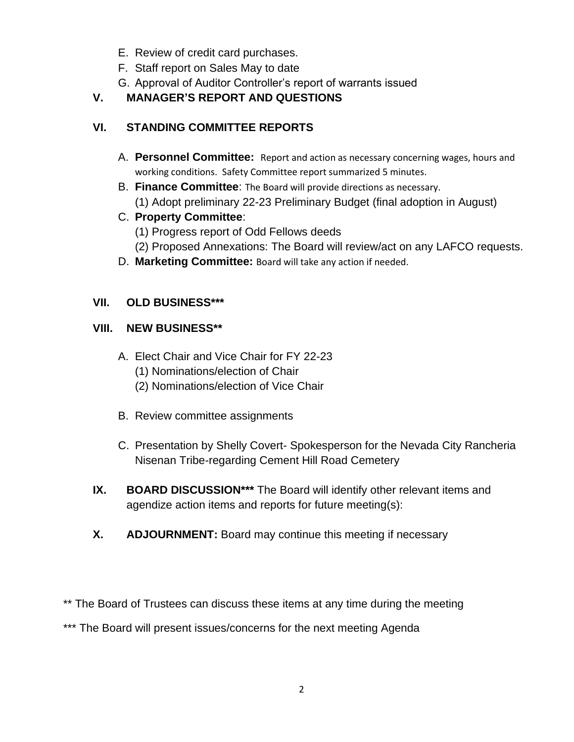- E. Review of credit card purchases.
- F. Staff report on Sales May to date
- G. Approval of Auditor Controller's report of warrants issued

# **V. MANAGER'S REPORT AND QUESTIONS**

# **VI. STANDING COMMITTEE REPORTS**

- A. **Personnel Committee:** Report and action as necessary concerning wages, hours and working conditions. Safety Committee report summarized 5 minutes.
- B. **Finance Committee**: The Board will provide directions as necessary. (1) Adopt preliminary 22-23 Preliminary Budget (final adoption in August)
- C. **Property Committee**:
	- (1) Progress report of Odd Fellows deeds
	- (2) Proposed Annexations: The Board will review/act on any LAFCO requests.
- D. **Marketing Committee:** Board will take any action if needed.

### **VII. OLD BUSINESS\*\*\***

### **VIII. NEW BUSINESS\*\***

- A. Elect Chair and Vice Chair for FY 22-23
	- (1) Nominations/election of Chair
	- (2) Nominations/election of Vice Chair
- B. Review committee assignments
- C. Presentation by Shelly Covert- Spokesperson for the Nevada City Rancheria Nisenan Tribe-regarding Cement Hill Road Cemetery
- **IX. BOARD DISCUSSION\*\*\*** The Board will identify other relevant items and agendize action items and reports for future meeting(s):
- **X. ADJOURNMENT:** Board may continue this meeting if necessary

\*\* The Board of Trustees can discuss these items at any time during the meeting

\*\*\* The Board will present issues/concerns for the next meeting Agenda